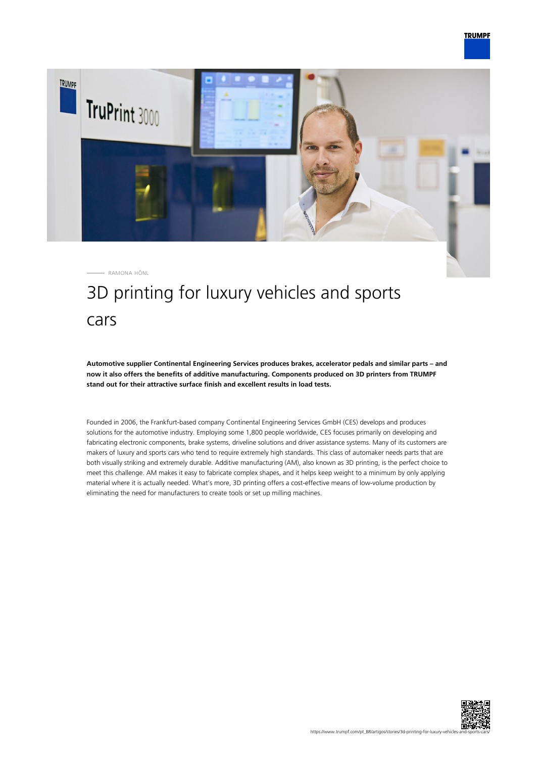

# 3D printing for luxury vehicles and sports cars

**Automotive supplier Continental Engineering Services produces brakes, accelerator pedals and similar parts – and now it also offers the benefits of additive manufacturing. Components produced on 3D printers from TRUMPF stand out for their attractive surface finish and excellent results in load tests.**

Founded in 2006, the Frankfurt-based company Continental Engineering Services GmbH (CES) develops and produces solutions for the automotive industry. Employing some 1,800 people worldwide, CES focuses primarily on developing and fabricating electronic components, brake systems, driveline solutions and driver assistance systems. Many of its customers are makers of luxury and sports cars who tend to require extremely high standards. This class of automaker needs parts that are both visually striking and extremely durable. Additive manufacturing (AM), also known as 3D printing, is the perfect choice to meet this challenge. AM makes it easy to fabricate complex shapes, and it helps keep weight to a minimum by only applying material where it is actually needed. What's more, 3D printing offers a cost-effective means of low-volume production by eliminating the need for manufacturers to create tools or set up milling machines.

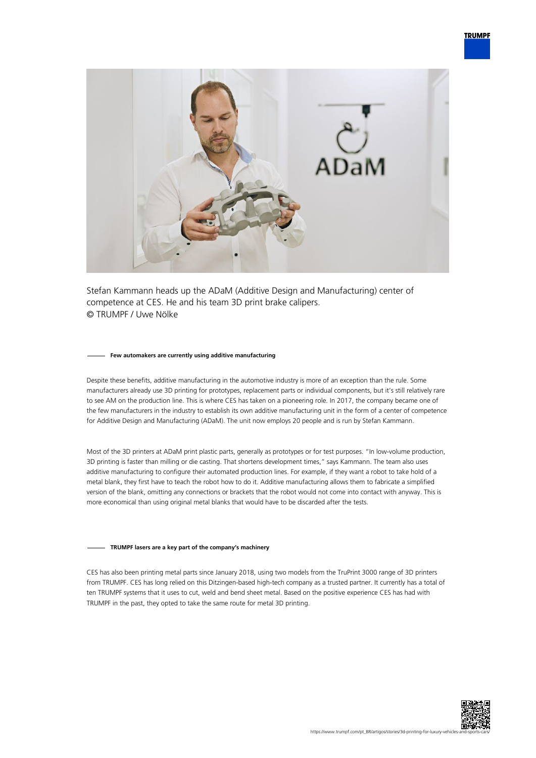

Stefan Kammann heads up the ADaM (Additive Design and Manufacturing) center of competence at CES. He and his team 3D print brake calipers. © TRUMPF / Uwe Nölke

#### **Few automakers are currently using additive manufacturing**

Despite these benefits, additive manufacturing in the automotive industry is more of an exception than the rule. Some manufacturers already use 3D printing for prototypes, replacement parts or individual components, but it's still relatively rare to see AM on the production line. This is where CES has taken on a pioneering role. In 2017, the company became one of the few manufacturers in the industry to establish its own additive manufacturing unit in the form of a center of competence for Additive Design and Manufacturing (ADaM). The unit now employs 20 people and is run by Stefan Kammann.

Most of the 3D printers at ADaM print plastic parts, generally as prototypes or for test purposes. "In low-volume production, 3D printing is faster than milling or die casting. That shortens development times," says Kammann. The team also uses additive manufacturing to configure their automated production lines. For example, if they want a robot to take hold of a metal blank, they first have to teach the robot how to do it. Additive manufacturing allows them to fabricate a simplified version of the blank, omitting any connections or brackets that the robot would not come into contact with anyway. This is more economical than using original metal blanks that would have to be discarded after the tests.

## **TRUMPF lasers are a key part of the company's machinery**

CES has also been printing metal parts since January 2018, using two models from the TruPrint 3000 range of 3D printers from TRUMPF. CES has long relied on this Ditzingen-based high-tech company as a trusted partner. It currently has a total of ten TRUMPF systems that it uses to cut, weld and bend sheet metal. Based on the positive experience CES has had with TRUMPF in the past, they opted to take the same route for metal 3D printing.

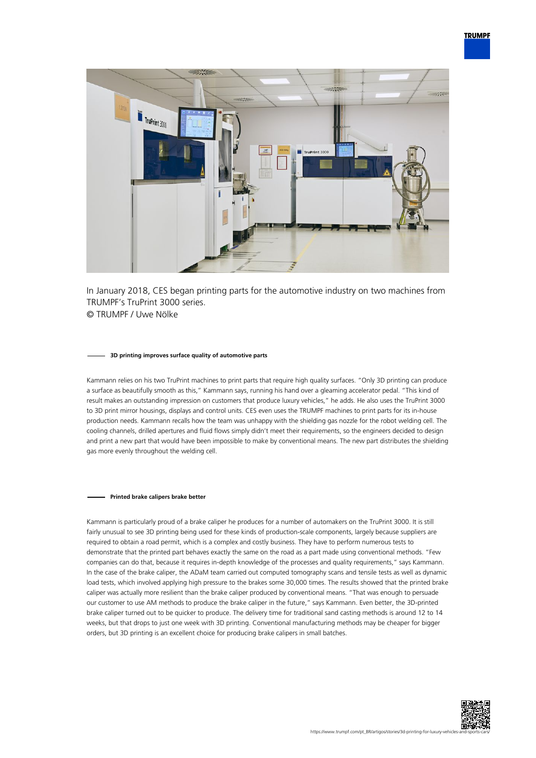

In January 2018, CES began printing parts for the automotive industry on two machines from TRUMPF's TruPrint 3000 series. © TRUMPF / Uwe Nölke

#### **3D printing improves surface quality of automotive parts**

Kammann relies on his two TruPrint machines to print parts that require high quality surfaces. "Only 3D printing can produce a surface as beautifully smooth as this," Kammann says, running his hand over a gleaming accelerator pedal. "This kind of result makes an outstanding impression on customers that produce luxury vehicles," he adds. He also uses the TruPrint 3000 to 3D print mirror housings, displays and control units. CES even uses the TRUMPF machines to print parts for its in-house production needs. Kammann recalls how the team was unhappy with the shielding gas nozzle for the robot welding cell. The cooling channels, drilled apertures and fluid flows simply didn't meet their requirements, so the engineers decided to design and print a new part that would have been impossible to make by conventional means. The new part distributes the shielding gas more evenly throughout the welding cell.

### **Printed brake calipers brake better**

Kammann is particularly proud of a brake caliper he produces for a number of automakers on the TruPrint 3000. It is still fairly unusual to see 3D printing being used for these kinds of production-scale components, largely because suppliers are required to obtain a road permit, which is a complex and costly business. They have to perform numerous tests to demonstrate that the printed part behaves exactly the same on the road as a part made using conventional methods. "Few companies can do that, because it requires in-depth knowledge of the processes and quality requirements," says Kammann. In the case of the brake caliper, the ADaM team carried out computed tomography scans and tensile tests as well as dynamic load tests, which involved applying high pressure to the brakes some 30,000 times. The results showed that the printed brake caliper was actually more resilient than the brake caliper produced by conventional means. "That was enough to persuade our customer to use AM methods to produce the brake caliper in the future," says Kammann. Even better, the 3D-printed brake caliper turned out to be quicker to produce. The delivery time for traditional sand casting methods is around 12 to 14 weeks, but that drops to just one week with 3D printing. Conventional manufacturing methods may be cheaper for bigger orders, but 3D printing is an excellent choice for producing brake calipers in small batches.